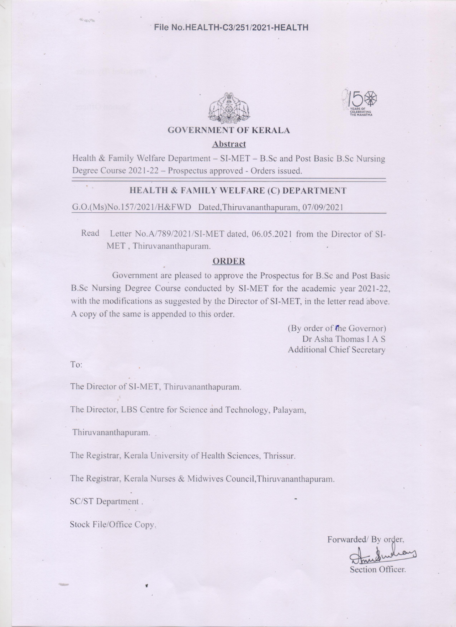



**GOVERNMENT OF KERALA** 

#### Abstract

Health & Family Welfare Department – SI-MET – B.Sc and Post Basic B.Sc Nursing Degree Course 2021-22 – Prospectus approved - Orders issued.

#### HEALTH & FAMILY WELFARE (C) DEPARTMENT

G.O.(Ms)No.157/2021/H&FWD Dated, Thiruvananthapuram, 07/09/2021

Read Letter No.A/789/2021/SI-MET dated, 06.05.2021 from the Director of SI-MET, Thiruvananthapuram.

#### **ORDER**

Government are pleased to approve the Prospectus for B.Sc and Post Basic B.Sc Nursing Degree Course conducted by SI-MET for the academic year 2021-22, with the modifications as suggested by the Director of SI-MET, in the letter read above. A copy of the same is appended to this order.

> (By order of the Governor) Dr Asha Thomas I A S **Additional Chief Secretary**

To:

The Director of SI-MET, Thiruvananthapuram.

The Director, LBS Centre for Science and Technology, Palayam,

Thiruvananthapuram.

The Registrar, Kerala University of Health Sciences, Thrissur.

The Registrar, Kerala Nurses & Midwives Council, Thiruvananthapuram.

SC/ST Department.

Stock File/Office Copy.

Forwarded/By order, Section Officer.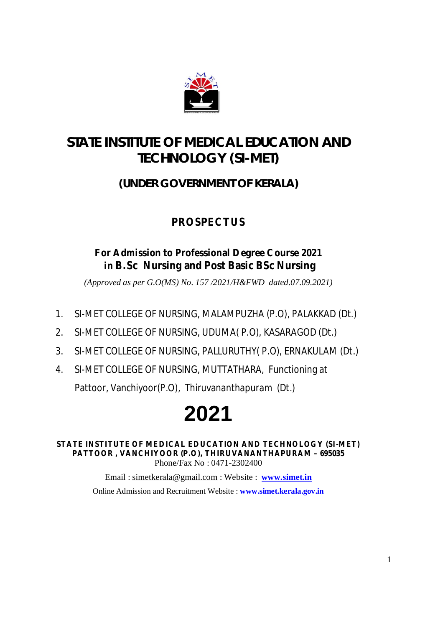

# **STATE INSTITUTE OF MEDICAL EDUCATION AND TECHNOLOGY (SI-MET)**

### **(UNDER GOVERNMENT OF KERALA)**

# **PROSPECTUS**

### **For Admission to Professional Degree Course 2021 in B.Sc Nursing and Post Basic BSc Nursing**

*(Approved as per G.O(MS) No. 157 /2021/H&FWD dated.07.09.2021)*

- 1. SI-MET COLLEGE OF NURSING, MALAMPUZHA (P.O), PALAKKAD (Dt.)
- 2. SI-MET COLLEGE OF NURSING, UDUMA( P.O), KASARAGOD (Dt.)
- 3. SI-MET COLLEGE OF NURSING, PALLURUTHY( P.O), ERNAKULAM (Dt.)
- 4. SI-MET COLLEGE OF NURSING, MUTTATHARA, Functioning at Pattoor, Vanchiyoor(P.O), Thiruvananthapuram (Dt.)

# **2021**

**STATE INSTITUTE OF MEDICAL EDUCATION AND TECHNOLOGY (SI-MET) PATTOOR , VANCHIYOOR (P.O), THIRUVANANTHAPURAM – 695035** Phone/Fax No : 0471-2302400

> Email : [simetkerala@gmail.com](mailto:simetkerala@gmail.com) : Website : **[www.simet.in](http://www.simet.in)** Online Admission and Recruitment Website : **[www.simet.kerala.gov.in](http://www.simet.kerala.gov.in)**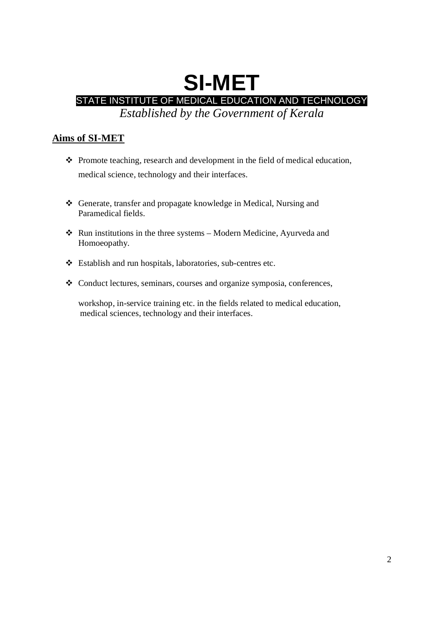# **SI-MET** STATE INSTITUTE OF MEDICAL EDUCATION AND TECHNOLOGY *Established by the Government of Kerala*

**Aims of SI-MET**

- $\triangle$  Promote teaching, research and development in the field of medical education, medical science, technology and their interfaces.
- Generate, transfer and propagate knowledge in Medical, Nursing and Paramedical fields.
- $\triangle$  Run institutions in the three systems Modern Medicine, Ayurveda and Homoeopathy.
- Establish and run hospitals, laboratories, sub-centres etc.
- Conduct lectures, seminars, courses and organize symposia, conferences,

workshop, in-service training etc. in the fields related to medical education, medical sciences, technology and their interfaces.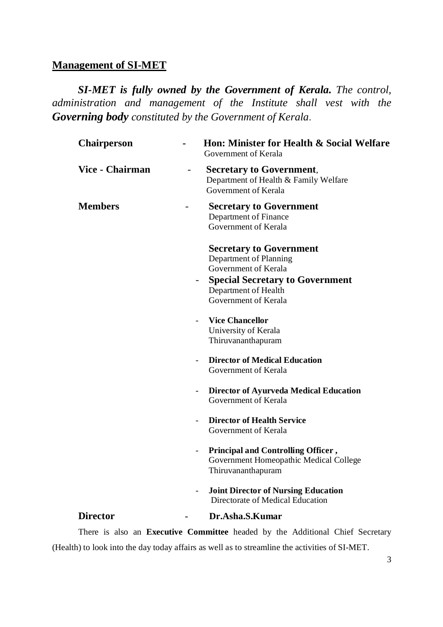### **Management of SI-MET**

*SI-MET is fully owned by the Government of Kerala. The control, administration and management of the Institute shall vest with the Governing body constituted by the Government of Kerala*.

| <b>Chairperson</b>     | Hon: Minister for Health & Social Welfare<br>Government of Kerala                                                                                                          |
|------------------------|----------------------------------------------------------------------------------------------------------------------------------------------------------------------------|
| <b>Vice - Chairman</b> | <b>Secretary to Government,</b><br>$\overline{\phantom{0}}$<br>Department of Health & Family Welfare<br>Government of Kerala                                               |
| <b>Members</b>         | <b>Secretary to Government</b><br>-<br>Department of Finance<br>Government of Kerala                                                                                       |
|                        | <b>Secretary to Government</b><br>Department of Planning<br>Government of Kerala<br><b>Special Secretary to Government</b><br>Department of Health<br>Government of Kerala |
|                        | <b>Vice Chancellor</b><br>University of Kerala<br>Thiruvananthapuram                                                                                                       |
|                        | <b>Director of Medical Education</b><br>Government of Kerala                                                                                                               |
|                        | Director of Ayurveda Medical Education<br>$\blacksquare$<br>Government of Kerala                                                                                           |
|                        | <b>Director of Health Service</b><br>Government of Kerala                                                                                                                  |
|                        | Principal and Controlling Officer,<br>$\blacksquare$<br>Government Homeopathic Medical College<br>Thiruvananthapuram                                                       |
|                        | <b>Joint Director of Nursing Education</b><br>Directorate of Medical Education                                                                                             |
| <b>Director</b>        | Dr.Asha.S.Kumar                                                                                                                                                            |
|                        |                                                                                                                                                                            |

There is also an **Executive Committee** headed by the Additional Chief Secretary (Health) to look into the day today affairs as well as to streamline the activities of SI-MET.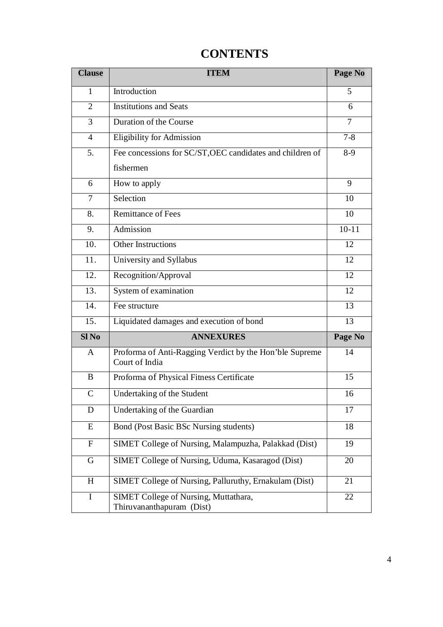| <b>Clause</b>    | <b>ITEM</b>                                                               | Page No |
|------------------|---------------------------------------------------------------------------|---------|
| 1                | Introduction                                                              | 5       |
| 2                | <b>Institutions and Seats</b>                                             | 6       |
| 3                | Duration of the Course                                                    | 7       |
| $\overline{4}$   | <b>Eligibility for Admission</b>                                          | $7 - 8$ |
| 5.               | Fee concessions for SC/ST, OEC candidates and children of                 | $8-9$   |
|                  | fishermen                                                                 |         |
| 6                | How to apply                                                              | 9       |
| 7                | Selection                                                                 | 10      |
| 8.               | Remittance of Fees                                                        | 10      |
| 9.               | Admission                                                                 | $10-11$ |
| 10.              | <b>Other Instructions</b>                                                 | 12      |
| 11.              | University and Syllabus                                                   | 12      |
| 12.              | Recognition/Approval                                                      | 12      |
| 13.              | System of examination                                                     | 12      |
| 14.              | Fee structure                                                             | 13      |
| 15.              | Liquidated damages and execution of bond                                  | 13      |
| Sl <sub>No</sub> | <b>ANNEXURES</b>                                                          | Page No |
| A                | Proforma of Anti-Ragging Verdict by the Hon'ble Supreme<br>Court of India | 14      |
| B                | Proforma of Physical Fitness Certificate                                  | 15      |
| $\mathbf C$      | Undertaking of the Student                                                | 16      |
| D                | Undertaking of the Guardian                                               | 17      |
| E                | Bond (Post Basic BSc Nursing students)                                    | 18      |
| ${\bf F}$        | SIMET College of Nursing, Malampuzha, Palakkad (Dist)                     | 19      |
| G                | SIMET College of Nursing, Uduma, Kasaragod (Dist)                         | 20      |
| H                | SIMET College of Nursing, Palluruthy, Ernakulam (Dist)                    | 21      |
| I                | SIMET College of Nursing, Muttathara,<br>Thiruvananthapuram (Dist)        | 22      |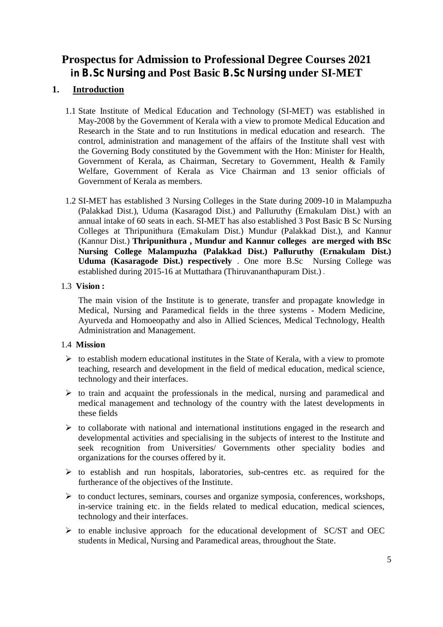### **Prospectus for Admission to Professional Degree Courses 2021 in B.Sc Nursing and Post Basic B.Sc Nursing under SI-MET**

#### **1. Introduction**

- 1.1 State Institute of Medical Education and Technology (SI-MET) was established in May-2008 by the Government of Kerala with a view to promote Medical Education and Research in the State and to run Institutions in medical education and research. The control, administration and management of the affairs of the Institute shall vest with the Governing Body constituted by the Government with the Hon: Minister for Health, Government of Kerala, as Chairman, Secretary to Government, Health & Family Welfare, Government of Kerala as Vice Chairman and 13 senior officials of Government of Kerala as members.
- 1.2 SI-MET has established 3 Nursing Colleges in the State during 2009-10 in Malampuzha (Palakkad Dist.), Uduma (Kasaragod Dist.) and Palluruthy (Ernakulam Dist.) with an annual intake of 60 seats in each. SI-MET has also established 3 Post Basic B Sc Nursing Colleges at Thripunithura (Ernakulam Dist.) Mundur (Palakkad Dist.), and Kannur (Kannur Dist.) **Thripunithura , Mundur and Kannur colleges are merged with BSc Nursing College Malampuzha (Palakkad Dist.) Palluruthy (Ernakulam Dist.) Uduma (Kasaragode Dist.) respectively** . One more B.Sc Nursing College was established during 2015-16 at Muttathara (Thiruvananthapuram Dist.) .

#### 1.3 **Vision :**

The main vision of the Institute is to generate, transfer and propagate knowledge in Medical, Nursing and Paramedical fields in the three systems - Modern Medicine, Ayurveda and Homoeopathy and also in Allied Sciences, Medical Technology, Health Administration and Management.

#### 1.4 **Mission**

- $\triangleright$  to establish modern educational institutes in the State of Kerala, with a view to promote teaching, research and development in the field of medical education, medical science, technology and their interfaces.
- $\triangleright$  to train and acquaint the professionals in the medical, nursing and paramedical and medical management and technology of the country with the latest developments in these fields
- $\triangleright$  to collaborate with national and international institutions engaged in the research and developmental activities and specialising in the subjects of interest to the Institute and seek recognition from Universities/ Governments other speciality bodies and organizations for the courses offered by it.
- $\triangleright$  to establish and run hospitals, laboratories, sub-centres etc. as required for the furtherance of the objectives of the Institute.
- $\triangleright$  to conduct lectures, seminars, courses and organize symposia, conferences, workshops, in-service training etc. in the fields related to medical education, medical sciences, technology and their interfaces.
- $\triangleright$  to enable inclusive approach for the educational development of SC/ST and OEC students in Medical, Nursing and Paramedical areas, throughout the State.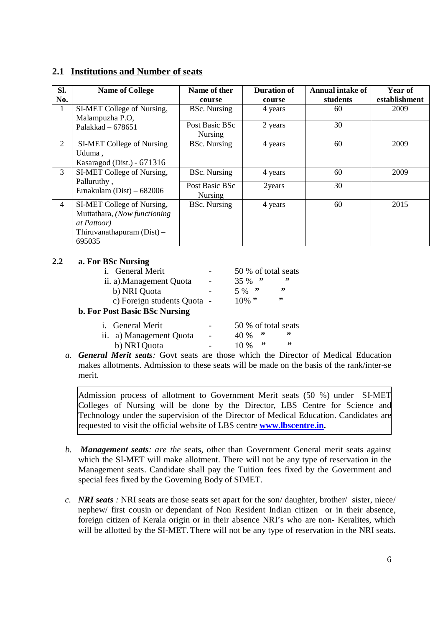#### **2.1 Institutions and Number of seats**

| Sl.<br>No.     | <b>Name of College</b>                                                                                                      | Name of ther<br>course           | <b>Duration of</b><br>course | <b>Annual intake of</b><br>students | Year of<br>establishment |
|----------------|-----------------------------------------------------------------------------------------------------------------------------|----------------------------------|------------------------------|-------------------------------------|--------------------------|
| 1              | SI-MET College of Nursing,<br>Malampuzha P.O,                                                                               | <b>BSc.</b> Nursing              | 4 years                      | 60                                  | 2009                     |
|                | Palakkad $-678651$                                                                                                          | Post Basic BSc<br><b>Nursing</b> | 2 years                      | 30                                  |                          |
| 2              | SI-MET College of Nursing<br>Uduma,<br>Kasaragod (Dist.) - 671316                                                           | <b>BSc.</b> Nursing              | 4 years                      | 60                                  | 2009                     |
| 3              | SI-MET College of Nursing,                                                                                                  | <b>BSc.</b> Nursing              | 4 years                      | 60                                  | 2009                     |
|                | Palluruthy,<br>Ernakulam (Dist) $-682006$                                                                                   | Post Basic BSc<br><b>Nursing</b> | 2years                       | 30                                  |                          |
| $\overline{4}$ | SI-MET College of Nursing,<br>Muttathara, (Now functioning<br><i>at Pattoor</i> )<br>Thiruvanathapuram $(Dist)$ –<br>695035 | <b>BSc.</b> Nursing              | 4 years                      | 60                                  | 2015                     |

#### **2.2 a. For BSc Nursing**

|                             | 50 % of total seats        |
|-----------------------------|----------------------------|
|                             | $, \, \cdot$<br>,,<br>35 % |
|                             | ,,<br>$5\%$ "              |
| c) Foreign students Quota - | ,,<br>$10\%$ "             |
|                             |                            |
|                             | 50 % of total seats        |
| $\blacksquare$              | "<br>"<br>40 %             |
|                             | ,,<br>$, \, \cdot$<br>10 % |
|                             |                            |

*a. General Merit seats:* Govt seats are those which the Director of Medical Education makes allotments. Admission to these seats will be made on the basis of the rank/inter-se merit.

Admission process of allotment to Government Merit seats (50 %) under SI-MET Colleges of Nursing will be done by the Director, LBS Centre for Science and Technology under the supervision of the Director of Medical Education. Candidates are requested to visit the official website of LBS centre **[www.lbscentre.in.](http://www.lbscentre.in.)**

- *b. Management seats: are the* seats, other than Government General merit seats against which the SI-MET will make allotment. There will not be any type of reservation in the Management seats. Candidate shall pay the Tuition fees fixed by the Government and special fees fixed by the Governing Body of SIMET.
- *c. NRI seats :* NRI seats are those seats set apart for the son/ daughter, brother/ sister, niece/ nephew/ first cousin or dependant of Non Resident Indian citizen or in their absence, foreign citizen of Kerala origin or in their absence NRI's who are non- Keralites, which will be allotted by the SI-MET. There will not be any type of reservation in the NRI seats.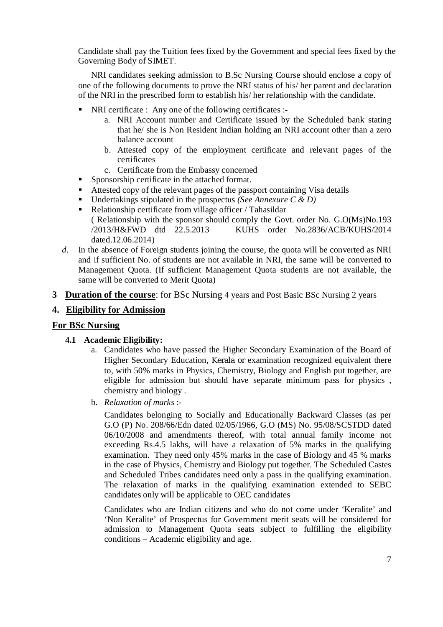Candidate shall pay the Tuition fees fixed by the Government and special fees fixed by the Governing Body of SIMET.

NRI candidates seeking admission to B.Sc Nursing Course should enclose a copy of one of the following documents to prove the NRI status of his/ her parent and declaration of the NRI in the prescribed form to establish his/ her relationship with the candidate.

- NRI certificate : Any one of the following certificates :
	- a. NRI Account number and Certificate issued by the Scheduled bank stating that he/ she is Non Resident Indian holding an NRI account other than a zero balance account
	- b. Attested copy of the employment certificate and relevant pages of the certificates
	- c. Certificate from the Embassy concerned
- **Sponsorship certificate in the attached format.**
- Attested copy of the relevant pages of the passport containing Visa details
- Undertakings stipulated in the prospectus *(See Annexure C & D)*
- Relationship certificate from village officer / Tahasildar ( Relationship with the sponsor should comply the Govt. order No. G.O(Ms)No.193 /2013/H&FWD dtd 22.5.2013 KUHS order No.2836/ACB/KUHS/2014 dated.12.06.2014)
- *d*. In the absence of Foreign students joining the course, the quota will be converted as NRI and if sufficient No. of students are not available in NRI, the same will be converted to Management Quota. (If sufficient Management Quota students are not available, the same will be converted to Merit Quota)
- **3 Duration of the course**: for BSc Nursing 4 years and Post Basic BSc Nursing 2 years

#### **4. Eligibility for Admission**

#### **For BSc Nursing**

- **4.1 Academic Eligibility:**
	- a. Candidates who have passed the Higher Secondary Examination of the Board of Higher Secondary Education, Kerala or examination recognized equivalent there to, with 50% marks in Physics, Chemistry, Biology and English put together, are eligible for admission but should have separate minimum pass for physics , chemistry and biology .
	- b. *Relaxation of marks* :-

Candidates belonging to Socially and Educationally Backward Classes (as per G.O (P) No. 208/66/Edn dated 02/05/1966, G.O (MS) No. 95/08/SCSTDD dated 06/10/2008 and amendments thereof, with total annual family income not exceeding Rs.4.5 lakhs, will have a relaxation of 5% marks in the qualifying examination. They need only 45% marks in the case of Biology and 45 % marks in the case of Physics, Chemistry and Biology put together. The Scheduled Castes and Scheduled Tribes candidates need only a pass in the qualifying examination. The relaxation of marks in the qualifying examination extended to SEBC candidates only will be applicable to OEC candidates

Candidates who are Indian citizens and who do not come under 'Keralite' and 'Non Keralite' of Prospectus for Government merit seats will be considered for admission to Management Quota seats subject to fulfilling the eligibility conditions – Academic eligibility and age.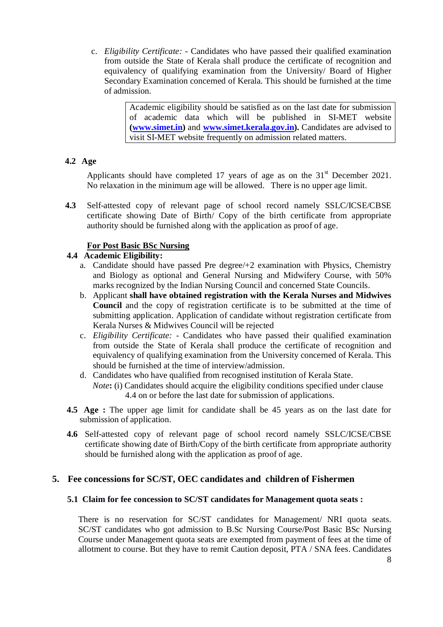c. *Eligibility Certificate: -* Candidates who have passed their qualified examination from outside the State of Kerala shall produce the certificate of recognition and equivalency of qualifying examination from the University/ Board of Higher Secondary Examination concerned of Kerala. This should be furnished at the time of admission.

> Academic eligibility should be satisfied as on the last date for submission of academic data which will be published in SI-MET website **([www.simet.in\)](http://www.simet.in))** and **[www.simet.kerala.gov.in\).](http://www.simet.kerala.gov.in).)** Candidates are advised to visit SI-MET website frequently on admission related matters.

#### **4.2 Age**

Applicants should have completed 17 years of age as on the  $31<sup>st</sup>$  December 2021. No relaxation in the minimum age will be allowed. There is no upper age limit.

**4.3** Self-attested copy of relevant page of school record namely SSLC/ICSE/CBSE certificate showing Date of Birth/ Copy of the birth certificate from appropriate authority should be furnished along with the application as proof of age.

#### **For Post Basic BSc Nursing**

#### **4.4 Academic Eligibility:**

- a. Candidate should have passed Pre degree/+2 examination with Physics, Chemistry and Biology as optional and General Nursing and Midwifery Course, with 50% marks recognized by the Indian Nursing Council and concerned State Councils.
- b. Applicant **shall have obtained registration with the Kerala Nurses and Midwives Council** and the copy of registration certificate is to be submitted at the time of submitting application. Application of candidate without registration certificate from Kerala Nurses & Midwives Council will be rejected
- c. *Eligibility Certificate: -* Candidates who have passed their qualified examination from outside the State of Kerala shall produce the certificate of recognition and equivalency of qualifying examination from the University concerned of Kerala. This should be furnished at the time of interview/admission.
- d. Candidates who have qualified from recognised institution of Kerala State. *Note***:** (i) Candidates should acquire the eligibility conditions specified under clause 4.4 on or before the last date for submission of applications.
- **4.5 Age :** The upper age limit for candidate shall be 45 years as on the last date for submission of application.
- **4.6** Self-attested copy of relevant page of school record namely SSLC/ICSE/CBSE certificate showing date of Birth/Copy of the birth certificate from appropriate authority should be furnished along with the application as proof of age.

#### **5. Fee concessions for SC/ST, OEC candidates and children of Fishermen**

#### **5.1 Claim for fee concession to SC/ST candidates for Management quota seats :**

There is no reservation for SC/ST candidates for Management/ NRI quota seats. SC/ST candidates who got admission to B.Sc Nursing Course/Post Basic BSc Nursing Course under Management quota seats are exempted from payment of fees at the time of allotment to course. But they have to remit Caution deposit, PTA / SNA fees. Candidates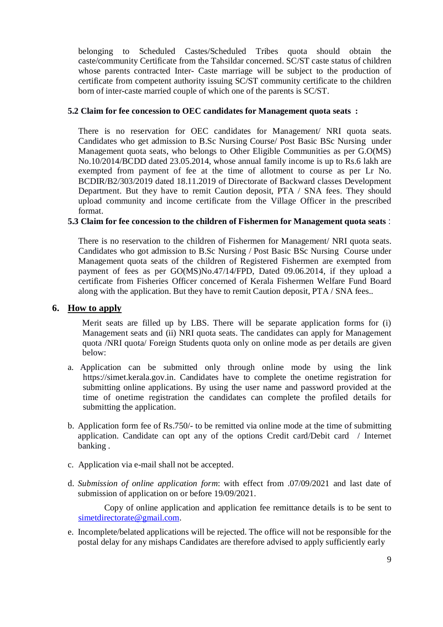belonging to Scheduled Castes/Scheduled Tribes quota should obtain the caste/community Certificate from the Tahsildar concerned. SC/ST caste status of children whose parents contracted Inter- Caste marriage will be subject to the production of certificate from competent authority issuing SC/ST community certificate to the children born of inter-caste married couple of which one of the parents is SC/ST.

#### **5.2 Claim for fee concession to OEC candidates for Management quota seats :**

There is no reservation for OEC candidates for Management/ NRI quota seats. Candidates who get admission to B.Sc Nursing Course/ Post Basic BSc Nursing under Management quota seats, who belongs to Other Eligible Communities as per G.O(MS) No.10/2014/BCDD dated 23.05.2014, whose annual family income is up to Rs.6 lakh are exempted from payment of fee at the time of allotment to course as per Lr No. BCDIR/B2/303/2019 dated 18.11.2019 of Directorate of Backward classes Development Department. But they have to remit Caution deposit, PTA / SNA fees. They should upload community and income certificate from the Village Officer in the prescribed format.

#### **5.3 Claim for fee concession to the children of Fishermen for Management quota seats** :

There is no reservation to the children of Fishermen for Management/ NRI quota seats. Candidates who got admission to B.Sc Nursing / Post Basic BSc Nursing Course under Management quota seats of the children of Registered Fishermen are exempted from payment of fees as per GO(MS)No.47/14/FPD, Dated 09.06.2014, if they upload a certificate from Fisheries Officer concerned of Kerala Fishermen Welfare Fund Board along with the application. But they have to remit Caution deposit, PTA / SNA fees..

#### **6. How to apply**

 Merit seats are filled up by LBS. There will be separate application forms for (i) Management seats and (ii) NRI quota seats. The candidates can apply for Management quota /NRI quota/ Foreign Students quota only on online mode as per details are given below:

- a. Application can be submitted only through online mode by using the link <https://simet.kerala.gov.in.> Candidates have to complete the onetime registration for submitting online applications. By using the user name and password provided at the time of onetime registration the candidates can complete the profiled details for submitting the application.
- b. Application form fee of Rs.750/- to be remitted via online mode at the time of submitting application. Candidate can opt any of the options Credit card/Debit card / Internet banking .
- c. Application via e-mail shall not be accepted.
- d. *Submission of online application form*: with effect from .07/09/2021 and last date of submission of application on or before 19/09/2021.

Copy of online application and application fee remittance details is to be sent to [simetdirectorate@gmail.com.](mailto:simetdirectorate@gmail.com.) 

e. Incomplete/belated applications will be rejected. The office will not be responsible for the postal delay for any mishaps Candidates are therefore advised to apply sufficiently early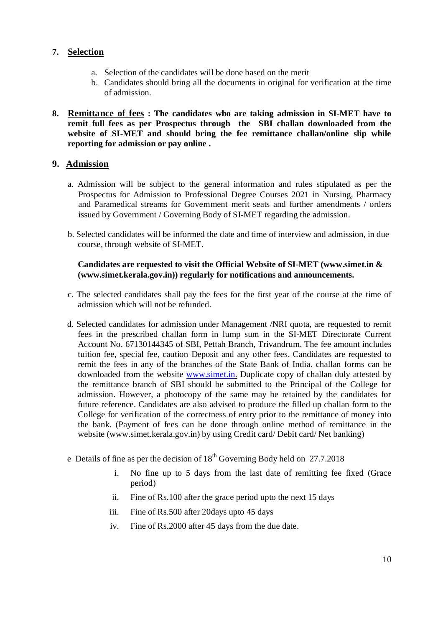#### **7. Selection**

- a. Selection of the candidates will be done based on the merit
- b. Candidates should bring all the documents in original for verification at the time of admission.
- **8. Remittance of fees : The candidates who are taking admission in SI-MET have to remit full fees as per Prospectus through the SBI challan downloaded from the website of SI-MET and should bring the fee remittance challan/online slip while reporting for admission or pay online .**

#### **9. Admission**

- a. Admission will be subject to the general information and rules stipulated as per the Prospectus for Admission to Professional Degree Courses 2021 in Nursing, Pharmacy and Paramedical streams for Government merit seats and further amendments / orders issued by Government / Governing Body of SI-MET regarding the admission.
- b. Selected candidates will be informed the date and time of interview and admission, in due course, through website of SI-MET.

#### **Candidates are requested to visit the Official Website of SI-MET [\(www.simet.in](http://www.simet.in) & [\(www.simet.kerala.gov.in\)\)](http://www.simet.kerala.gov.in))) regularly for notifications and announcements.**

- c. The selected candidates shall pay the fees for the first year of the course at the time of admission which will not be refunded.
- d. Selected candidates for admission under Management /NRI quota, are requested to remit fees in the prescribed challan form in lump sum in the SI-MET Directorate Current Account No. 67130144345 of SBI, Pettah Branch, Trivandrum. The fee amount includes tuition fee, special fee, caution Deposit and any other fees. Candidates are requested to remit the fees in any of the branches of the State Bank of India. challan forms can be downloaded from the website [www.simet.in.](http://www.simet.in.) Duplicate copy of challan duly attested by the remittance branch of SBI should be submitted to the Principal of the College for admission. However, a photocopy of the same may be retained by the candidates for future reference. Candidates are also advised to produce the filled up challan form to the College for verification of the correctness of entry prior to the remittance of money into the bank. (Payment of fees can be done through online method of remittance in the website [\(www.simet.kerala.gov.in\)](http://www.simet.kerala.gov.in)) by using Credit card/ Debit card/ Net banking)
- e Details of fine as per the decision of  $18<sup>th</sup>$  Governing Body held on 27.7.2018
	- i. No fine up to 5 days from the last date of remitting fee fixed (Grace period)
	- ii. Fine of Rs.100 after the grace period upto the next 15 days
	- iii. Fine of Rs.500 after 20days upto 45 days
	- iv. Fine of Rs.2000 after 45 days from the due date.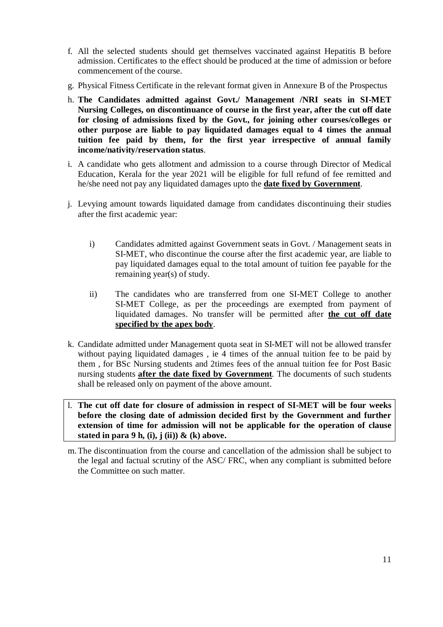- f. All the selected students should get themselves vaccinated against Hepatitis B before admission. Certificates to the effect should be produced at the time of admission or before commencement of the course.
- g. Physical Fitness Certificate in the relevant format given in Annexure B of the Prospectus
- h. **The Candidates admitted against Govt./ Management /NRI seats in SI-MET Nursing Colleges, on discontinuance of course in the first year, after the cut off date for closing of admissions fixed by the Govt., for joining other courses/colleges or other purpose are liable to pay liquidated damages equal to 4 times the annual tuition fee paid by them, for the first year irrespective of annual family income/nativity/reservation status**.
- i. A candidate who gets allotment and admission to a course through Director of Medical Education, Kerala for the year 2021 will be eligible for full refund of fee remitted and he/she need not pay any liquidated damages upto the **date fixed by Government**.
- j. Levying amount towards liquidated damage from candidates discontinuing their studies after the first academic year:
	- i) Candidates admitted against Government seats in Govt. / Management seats in SI-MET, who discontinue the course after the first academic year, are liable to pay liquidated damages equal to the total amount of tuition fee payable for the remaining year(s) of study.
	- ii) The candidates who are transferred from one SI-MET College to another SI-MET College, as per the proceedings are exempted from payment of liquidated damages. No transfer will be permitted after **the cut off date specified by the apex body**.
- k. Candidate admitted under Management quota seat in SI-MET will not be allowed transfer without paying liquidated damages , ie 4 times of the annual tuition fee to be paid by them , for BSc Nursing students and 2times fees of the annual tuition fee for Post Basic nursing students **after the date fixed by Government**. The documents of such students shall be released only on payment of the above amount.
- l. **The cut off date for closure of admission in respect of SI-MET will be four weeks before the closing date of admission decided first by the Government and further extension of time for admission will not be applicable for the operation of clause stated in para 9 h, (i), j (ii)) & (k) above.**
- m.The discontinuation from the course and cancellation of the admission shall be subject to the legal and factual scrutiny of the ASC/ FRC, when any compliant is submitted before the Committee on such matter.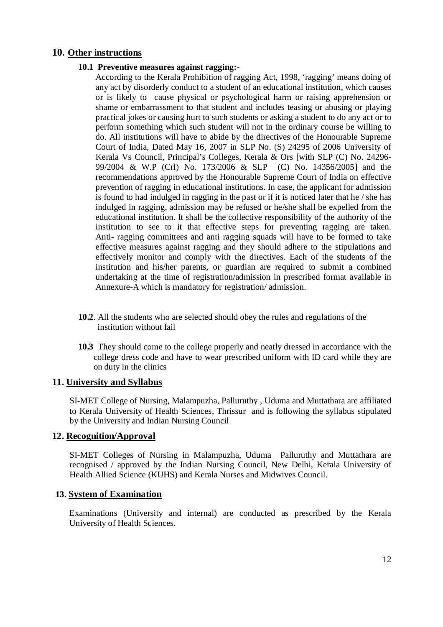#### **10. Other instructions**

#### **10.1 Preventive measures against ragging:-**

According to the Kerala Prohibition of ragging Act, 1998, 'ragging' means doing of any act by disorderly conduct to a student of an educational institution, which causes or is likely to cause physical or psychological harm or raising apprehension or shame or embarrassment to that student and includes teasing or abusing or playing practical jokes or causing hurt to such students or asking a student to do any act or to perform something which such student will not in the ordinary course be willing to do. All institutions will have to abide by the directives of the Honourable Supreme Court of India, Dated May 16, 2007 in SLP No. (S) 24295 of 2006 University of Kerala Vs Council, Principal's Colleges, Kerala & Ors [with SLP (C) No. 24296- 99/2004 & W.P (Crl) No. 173/2006 & SLP (C) No. 14356/2005] and the recommendations approved by the Honourable Supreme Court of India on effective prevention of ragging in educational institutions. In case, the applicant for admission is found to had indulged in ragging in the past or if it is noticed later that he / she has indulged in ragging, admission may be refused or he/she shall be expelled from the educational institution. It shall be the collective responsibility of the authority of the institution to see to it that effective steps for preventing ragging are taken. Anti- ragging committees and anti ragging squads will have to be formed to take effective measures against ragging and they should adhere to the stipulations and effectively monitor and comply with the directives. Each of the students of the institution and his/her parents, or guardian are required to submit a combined undertaking at the time of registration/admission in prescribed format available in Annexure-A which is mandatory for registration/ admission.

- **10.2**. All the students who are selected should obey the rules and regulations of the institution without fail
- **10.3** They should come to the college properly and neatly dressed in accordance with the college dress code and have to wear prescribed uniform with ID card while they are on duty in the clinics

#### **11. University and Syllabus**

SI-MET College of Nursing, Malampuzha, Palluruthy , Uduma and Muttathara are affiliated to Kerala University of Health Sciences, Thrissur and is following the syllabus stipulated by the University and Indian Nursing Council

#### **12. Recognition/Approval**

SI-MET Colleges of Nursing in Malampuzha, Uduma Palluruthy and Muttathara are recognised / approved by the Indian Nursing Council, New Delhi, Kerala University of Health Allied Science (KUHS) and Kerala Nurses and Midwives Council.

#### **13. System of Examination**

Examinations (University and internal) are conducted as prescribed by the Kerala University of Health Sciences.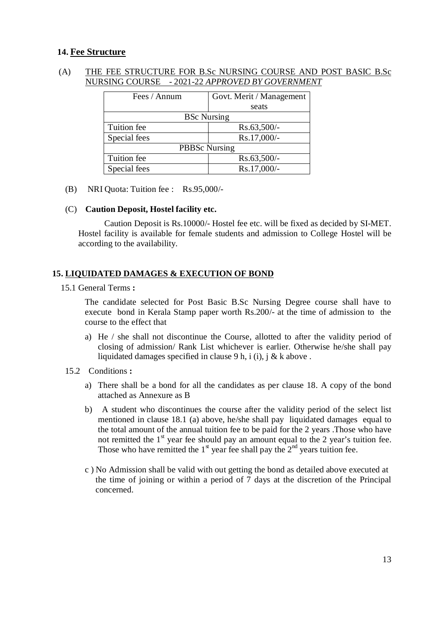#### **14. Fee Structure**

#### (A) THE FEE STRUCTURE FOR B.Sc NURSING COURSE AND POST BASIC B.Sc NURSING COURSE - 2021-22 *APPROVED BY GOVERNMENT*

| Fees / Annum         | Govt. Merit / Management |  |
|----------------------|--------------------------|--|
|                      | seats                    |  |
| <b>BSc Nursing</b>   |                          |  |
| Tuition fee          | $Rs.63,500/-$            |  |
| Special fees         | Rs.17,000/-              |  |
| <b>PBBSc Nursing</b> |                          |  |
| Tuition fee          | $Rs.63,500/-$            |  |
| Special fees         | Rs.17,000/-              |  |

(B) NRI Quota: Tuition fee : Rs.95,000/-

#### (C) **Caution Deposit, Hostel facility etc.**

Caution Deposit is Rs.10000/- Hostel fee etc. will be fixed as decided by SI-MET. Hostel facility is available for female students and admission to College Hostel will be according to the availability.

#### **15. LIQUIDATED DAMAGES & EXECUTION OF BOND**

15.1 General Terms **:**

The candidate selected for Post Basic B.Sc Nursing Degree course shall have to execute bond in Kerala Stamp paper worth Rs.200/- at the time of admission to the course to the effect that

- a) He / she shall not discontinue the Course, allotted to after the validity period of closing of admission/ Rank List whichever is earlier. Otherwise he/she shall pay liquidated damages specified in clause 9 h, i (i), j & k above.
- 15.2 Conditions **:**
	- a) There shall be a bond for all the candidates as per clause 18. A copy of the bond attached as Annexure as B
	- b) A student who discontinues the course after the validity period of the select list mentioned in clause 18.1 (a) above, he/she shall pay liquidated damages equal to the total amount of the annual tuition fee to be paid for the 2 years .Those who have not remitted the  $1<sup>st</sup>$  year fee should pay an amount equal to the 2 year's tuition fee. Those who have remitted the  $1<sup>st</sup>$  year fee shall pay the  $2<sup>nd</sup>$  years tuition fee.
	- c ) No Admission shall be valid with out getting the bond as detailed above executed at the time of joining or within a period of 7 days at the discretion of the Principal concerned.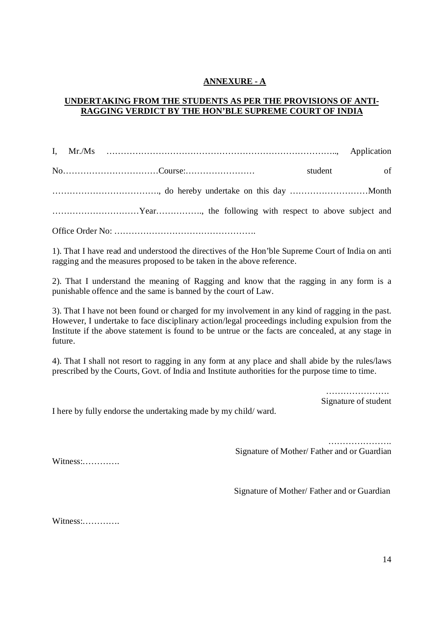#### **ANNEXURE - A**

#### **UNDERTAKING FROM THE STUDENTS AS PER THE PROVISIONS OF ANTI-RAGGING VERDICT BY THE HON'BLE SUPREME COURT OF INDIA**

I, Mr./Ms …………………………………………………………………….., Application No……………………………Course:…………………… student of ………………………………., do hereby undertake on this day ………………………Month …………………………Year……………., the following with respect to above subject and Office Order No: ………………………………………….

1). That I have read and understood the directives of the Hon'ble Supreme Court of India on anti ragging and the measures proposed to be taken in the above reference.

2). That I understand the meaning of Ragging and know that the ragging in any form is a punishable offence and the same is banned by the court of Law.

3). That I have not been found or charged for my involvement in any kind of ragging in the past. However, I undertake to face disciplinary action/legal proceedings including expulsion from the Institute if the above statement is found to be untrue or the facts are concealed, at any stage in future.

4). That I shall not resort to ragging in any form at any place and shall abide by the rules/laws prescribed by the Courts, Govt. of India and Institute authorities for the purpose time to time.

> …………………… Signature of student

I here by fully endorse the undertaking made by my child/ ward.

 …………………. Signature of Mother/ Father and or Guardian

Witness:………….

Signature of Mother/ Father and or Guardian

Witness:………….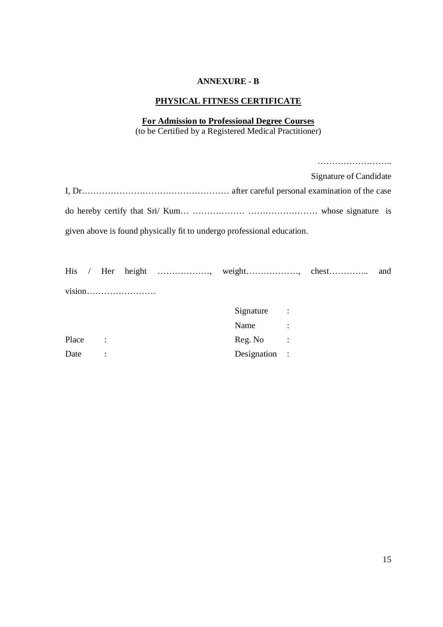#### **ANNEXURE - B**

#### **PHYSICAL FITNESS CERTIFICATE**

#### **For Admission to Professional Degree Courses** (to be Certified by a Registered Medical Practitioner)

|         |  |                                                                        |               | Signature of Candidate           |     |
|---------|--|------------------------------------------------------------------------|---------------|----------------------------------|-----|
|         |  |                                                                        |               |                                  |     |
|         |  |                                                                        |               |                                  |     |
|         |  | given above is found physically fit to undergo professional education. |               |                                  |     |
|         |  |                                                                        |               | His / Her height , weight, chest | and |
|         |  |                                                                        |               |                                  |     |
|         |  |                                                                        | Signature :   |                                  |     |
|         |  |                                                                        | Name:         |                                  |     |
| Place : |  |                                                                        | $Reg. No$ :   |                                  |     |
| Date :  |  |                                                                        | Designation : |                                  |     |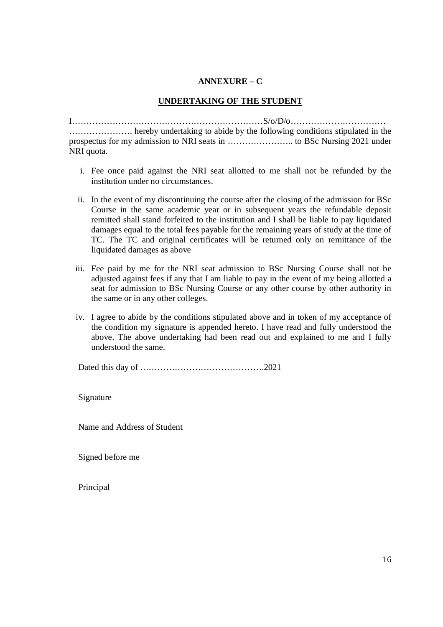#### **ANNEXURE – C**

#### **UNDERTAKING OF THE STUDENT**

I…………………………………………………………S/o/D/o…………………………… …………………. hereby undertaking to abide by the following conditions stipulated in the prospectus for my admission to NRI seats in ………………….. to BSc Nursing 2021 under NRI quota.

- i. Fee once paid against the NRI seat allotted to me shall not be refunded by the institution under no circumstances.
- ii. In the event of my discontinuing the course after the closing of the admission for BSc Course in the same academic year or in subsequent years the refundable deposit remitted shall stand forfeited to the institution and I shall be liable to pay liquidated damages equal to the total fees payable for the remaining years of study at the time of TC. The TC and original certificates will be returned only on remittance of the liquidated damages as above
- iii. Fee paid by me for the NRI seat admission to BSc Nursing Course shall not be adjusted against fees if any that I am liable to pay in the event of my being allotted a seat for admission to BSc Nursing Course or any other course by other authority in the same or in any other colleges.
- iv. I agree to abide by the conditions stipulated above and in token of my acceptance of the condition my signature is appended hereto. I have read and fully understood the above. The above undertaking had been read out and explained to me and I fully understood the same.

Dated this day of …………………………………….2021

Signature

Name and Address of Student

Signed before me

Principal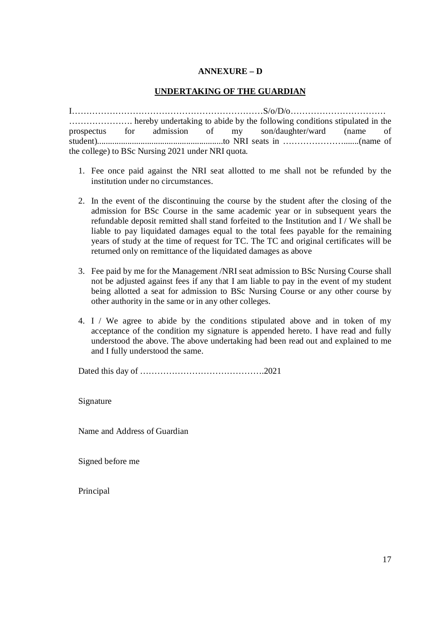#### **ANNEXURE – D**

#### **UNDERTAKING OF THE GUARDIAN**

I…………………………………………………………S/o/D/o…………………………… …………………. hereby undertaking to abide by the following conditions stipulated in the prospectus for admission of my son/daughter/ward (name of student)..........................................................to NRI seats in ………………….......(name of the college) to BSc Nursing 2021 under NRI quota.

- 1. Fee once paid against the NRI seat allotted to me shall not be refunded by the institution under no circumstances.
- 2. In the event of the discontinuing the course by the student after the closing of the admission for BSc Course in the same academic year or in subsequent years the refundable deposit remitted shall stand forfeited to the Institution and I / We shall be liable to pay liquidated damages equal to the total fees payable for the remaining years of study at the time of request for TC. The TC and original certificates will be returned only on remittance of the liquidated damages as above
- 3. Fee paid by me for the Management /NRI seat admission to BSc Nursing Course shall not be adjusted against fees if any that I am liable to pay in the event of my student being allotted a seat for admission to BSc Nursing Course or any other course by other authority in the same or in any other colleges.
- 4. I / We agree to abide by the conditions stipulated above and in token of my acceptance of the condition my signature is appended hereto. I have read and fully understood the above. The above undertaking had been read out and explained to me and I fully understood the same.

Dated this day of …………………………………….2021

Signature

Name and Address of Guardian

Signed before me

Principal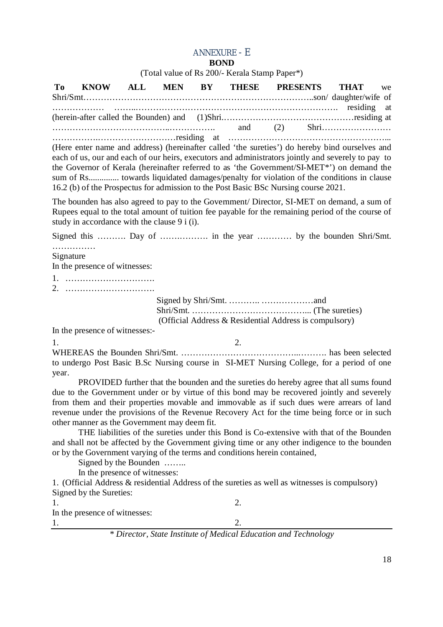#### ANNEXURE - E

#### **BOND**

(Total value of Rs 200/- Kerala Stamp Paper\*)

**To KNOW ALL MEN BY THESE PRESENTS THAT** we Shri/Smt……………………………………………………………………..son/ daughter/wife of ……………… ……..……………………………………………………………. residing at (herein-after called the Bounden) and (1)Shri.………………………………………residing at …………………………………..……………. and (2) Shri…………………… …………….………………………residing at ………………………………………………... (Here enter name and address) (hereinafter called 'the sureties') do hereby bind ourselves and

each of us, our and each of our heirs, executors and administrators jointly and severely to pay to the Governor of Kerala (hereinafter referred to as 'the Government/SI-MET\*') on demand the sum of Rs.............. towards liquidated damages/penalty for violation of the conditions in clause 16.2 (b) of the Prospectus for admission to the Post Basic BSc Nursing course 2021.

The bounden has also agreed to pay to the Government/ Director, SI-MET on demand, a sum of Rupees equal to the total amount of tuition fee payable for the remaining period of the course of study in accordance with the clause 9 i (i).

Signed this ……….. Day of ……………... in the year …………. by the bounden Shri/Smt. ……………

Signature

In the presence of witnesses:

1. ………………………….

2. ………………………….

Signed by Shri/Smt. ……….. ………………and Shri/Smt. …………………………………... (The sureties) (Official Address & Residential Address is compulsory)

In the presence of witnesses:-

1. 2.

WHEREAS the Bounden Shri/Smt. …………………………………..………. has been selected to undergo Post Basic B.Sc Nursing course in SI-MET Nursing College, for a period of one year.

PROVIDED further that the bounden and the sureties do hereby agree that all sums found due to the Government under or by virtue of this bond may be recovered jointly and severely from them and their properties movable and immovable as if such dues were arrears of land revenue under the provisions of the Revenue Recovery Act for the time being force or in such other manner as the Government may deem fit.

THE liabilities of the sureties under this Bond is Co-extensive with that of the Bounden and shall not be affected by the Government giving time or any other indigence to the bounden or by the Government varying of the terms and conditions herein contained,

Signed by the Bounden ……..

In the presence of witnesses:

1. (Official Address & residential Address of the sureties as well as witnesses is compulsory) Signed by the Sureties:

1. 2. In the presence of witnesses: 1. 2.

*\* Director, State Institute of Medical Education and Technology*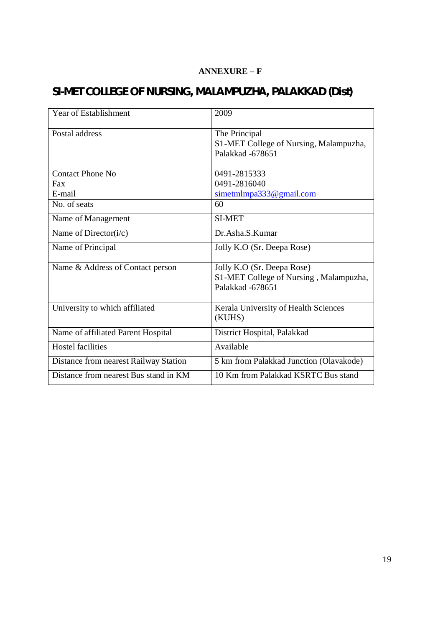### **ANNEXURE – F**

# **SI-MET COLLEGE OF NURSING, MALAMPUZHA, PALAKKAD (Dist)**

| <b>Year of Establishment</b>          | 2009                                                    |
|---------------------------------------|---------------------------------------------------------|
| Postal address                        | The Principal<br>S1-MET College of Nursing, Malampuzha, |
|                                       | Palakkad -678651                                        |
| Contact Phone No                      | 0491-2815333                                            |
| Fax                                   | 0491-2816040                                            |
| E-mail                                | $s$ imetmlmpa333@gmail.com                              |
| No. of seats                          | 60                                                      |
| Name of Management                    | <b>SI-MET</b>                                           |
| Name of Director(i/c)                 | Dr.Asha, S.Kumar                                        |
| Name of Principal                     | Jolly K.O (Sr. Deepa Rose)                              |
| Name & Address of Contact person      | Jolly K.O (Sr. Deepa Rose)                              |
|                                       | S1-MET College of Nursing, Malampuzha,                  |
|                                       | Palakkad -678651                                        |
| University to which affiliated        | Kerala University of Health Sciences<br>(KUHS)          |
| Name of affiliated Parent Hospital    | District Hospital, Palakkad                             |
| <b>Hostel facilities</b>              | Available                                               |
| Distance from nearest Railway Station | 5 km from Palakkad Junction (Olavakode)                 |
| Distance from nearest Bus stand in KM | 10 Km from Palakkad KSRTC Bus stand                     |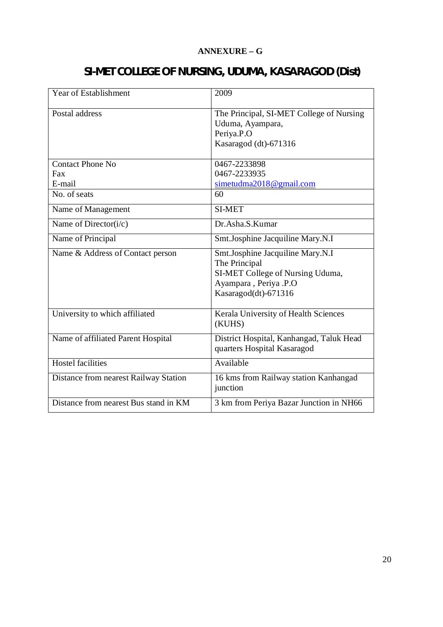#### **ANNEXURE – G**

| <b>Year of Establishment</b>             | 2009                                                                                                                                   |
|------------------------------------------|----------------------------------------------------------------------------------------------------------------------------------------|
| Postal address                           | The Principal, SI-MET College of Nursing<br>Uduma, Ayampara,<br>Periya.P.O<br>Kasaragod (dt)-671316                                    |
| <b>Contact Phone No</b><br>Fax<br>E-mail | 0467-2233898<br>0467-2233935<br>simetudma2018@gmail.com                                                                                |
| No. of seats                             | 60                                                                                                                                     |
| Name of Management                       | <b>SI-MET</b>                                                                                                                          |
| Name of Director( $i/c$ )                | Dr.Asha.S.Kumar                                                                                                                        |
| Name of Principal                        | Smt.Josphine Jacquiline Mary.N.I                                                                                                       |
| Name & Address of Contact person         | Smt.Josphine Jacquiline Mary.N.I<br>The Principal<br>SI-MET College of Nursing Uduma,<br>Ayampara, Periya .P.O<br>Kasaragod(dt)-671316 |
| University to which affiliated           | Kerala University of Health Sciences<br>(KUHS)                                                                                         |
| Name of affiliated Parent Hospital       | District Hospital, Kanhangad, Taluk Head<br>quarters Hospital Kasaragod                                                                |
| <b>Hostel facilities</b>                 | Available                                                                                                                              |
| Distance from nearest Railway Station    | 16 kms from Railway station Kanhangad<br>junction                                                                                      |
| Distance from nearest Bus stand in KM    | 3 km from Periya Bazar Junction in NH66                                                                                                |

# **SI-MET COLLEGE OF NURSING, UDUMA, KASARAGOD (Dist)**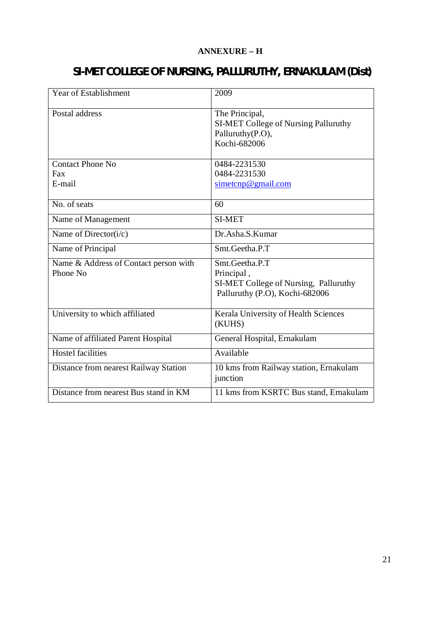#### **ANNEXURE – H**

# **SI-MET COLLEGE OF NURSING, PALLURUTHY, ERNAKULAM (Dist)**

| <b>Year of Establishment</b>                      | 2009                                                                                                    |
|---------------------------------------------------|---------------------------------------------------------------------------------------------------------|
| Postal address                                    | The Principal,<br><b>SI-MET College of Nursing Palluruthy</b><br>Palluruthy(P.O),<br>Kochi-682006       |
| <b>Contact Phone No</b><br>Fax<br>E-mail          | 0484-2231530<br>0484-2231530<br>$s$ imetcnp@gmail.com                                                   |
| No. of seats                                      | 60                                                                                                      |
| Name of Management                                | <b>SI-MET</b>                                                                                           |
| Name of Director( $i/c$ )                         | Dr.Asha.S.Kumar                                                                                         |
| Name of Principal                                 | Smt.Geetha.P.T                                                                                          |
| Name & Address of Contact person with<br>Phone No | Smt.Geetha.P.T<br>Principal,<br>SI-MET College of Nursing, Palluruthy<br>Palluruthy (P.O), Kochi-682006 |
| University to which affiliated                    | Kerala University of Health Sciences<br>(KUHS)                                                          |
| Name of affiliated Parent Hospital                | General Hospital, Ernakulam                                                                             |
| <b>Hostel facilities</b>                          | Available                                                                                               |
| Distance from nearest Railway Station             | 10 kms from Railway station, Ernakulam<br>junction                                                      |
| Distance from nearest Bus stand in KM             | 11 kms from KSRTC Bus stand, Ernakulam                                                                  |